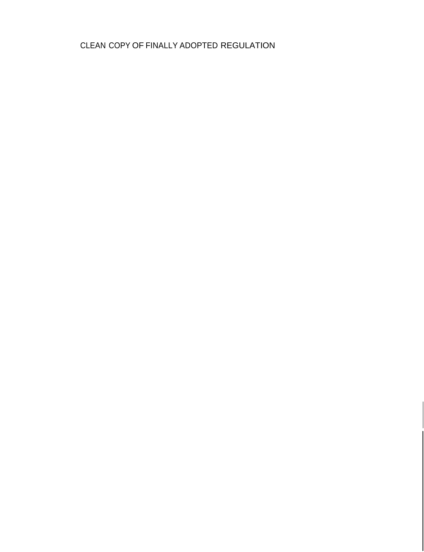CLEAN COPY OF FINALLY ADOPTED REGULATION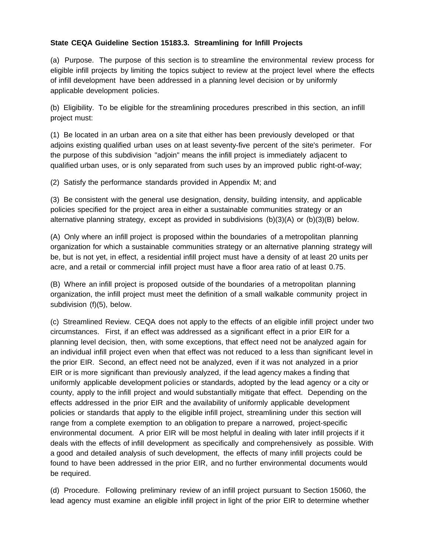### **State CEQA Guideline Section 15183.3. Streamlining for lnfill Projects**

(a) Purpose. The purpose of this section is to streamline the environmental review process for eligible infill projects by limiting the topics subject to review at the project level where the effects of infill development have been addressed in a planning level decision or by uniformly applicable development policies.

(b) Eligibility. To be eligible for the streamlining procedures prescribed in this section, an infill project must:

(1) Be located in an urban area on a site that either has been previously developed or that adjoins existing qualified urban uses on at least seventy-five percent of the site's perimeter. For the purpose of this subdivision "adjoin" means the infill project is immediately adjacent to qualified urban uses, or is only separated from such uses by an improved public right-of-way;

(2) Satisfy the performance standards provided in Appendix M; and

(3) Be consistent with the general use designation, density, building intensity, and applicable policies specified for the project area in either a sustainable communities strategy or an alternative planning strategy, except as provided in subdivisions (b)(3)(A) or (b)(3)(B) below.

(A) Only where an infill project is proposed within the boundaries of a metropolitan planning organization for which a sustainable communities strategy or an alternative planning strategy will be, but is not yet, in effect, a residential infill project must have a density of at least 20 units per acre, and a retail or commercial infill project must have a floor area ratio of at least 0.75.

(B) Where an infill project is proposed outside of the boundaries of a metropolitan planning organization, the infill project must meet the definition of a small walkable community project in subdivision (f)(5), below.

(c) Streamlined Review. CEQA does not apply to the effects of an eligible infill project under two circumstances. First, if an effect was addressed as a significant effect in a prior EIR for a planning level decision, then, with some exceptions, that effect need not be analyzed again for an individual infill project even when that effect was not reduced to a less than significant level in the prior EIR. Second, an effect need not be analyzed, even if it was not analyzed in a prior EIR or is more significant than previously analyzed, if the lead agency makes a finding that uniformly applicable development policies or standards, adopted by the lead agency or a city or county, apply to the infill project and would substantially mitigate that effect. Depending on the effects addressed in the prior EIR and the availability of uniformly applicable development policies or standards that apply to the eligible infill project, streamlining under this section will range from a complete exemption to an obligation to prepare a narrowed, project-specific environmental document. A prior EIR will be most helpful in dealing with later infill projects if it deals with the effects of infill development as specifically and comprehensively as possible. With a good and detailed analysis of such development, the effects of many infill projects could be found to have been addressed in the prior EIR, and no further environmental documents would be required.

(d) Procedure. Following preliminary review of an infill project pursuant to Section 15060, the lead agency must examine an eligible infill project in light of the prior EIR to determine whether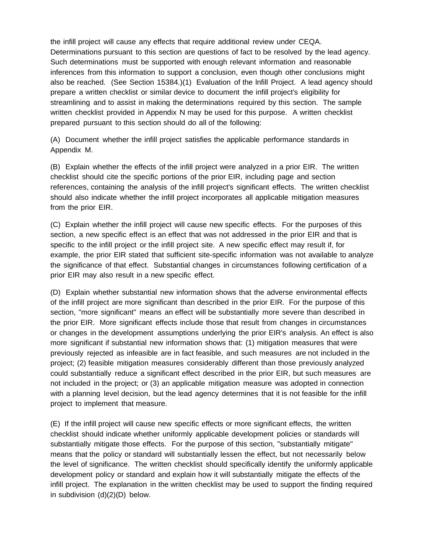the infill project will cause any effects that require additional review under CEQA. Determinations pursuant to this section are questions of fact to be resolved by the lead agency. Such determinations must be supported with enough relevant information and reasonable inferences from this information to support a conclusion, even though other conclusions might also be reached. (See Section 15384.)(1) Evaluation of the lnfill Project. A lead agency should prepare a written checklist or similar device to document the infill project's eligibility for streamlining and to assist in making the determinations required by this section. The sample written checklist provided in Appendix N may be used for this purpose. A written checklist prepared pursuant to this section should do all of the following:

(A) Document whether the infill project satisfies the applicable performance standards in Appendix M.

(B) Explain whether the effects of the infill project were analyzed in a prior EIR. The written checklist should cite the specific portions of the prior EIR, including page and section references, containing the analysis of the infill project's significant effects. The written checklist should also indicate whether the infill project incorporates all applicable mitigation measures from the prior EIR.

(C) Explain whether the infill project will cause new specific effects. For the purposes of this section, a new specific effect is an effect that was not addressed in the prior EIR and that is specific to the infill project or the infill project site. A new specific effect may result if, for example, the prior EIR stated that sufficient site-specific information was not available to analyze the significance of that effect. Substantial changes in circumstances following certification of a prior EIR may also result in a new specific effect.

(D) Explain whether substantial new information shows that the adverse environmental effects of the infill project are more significant than described in the prior EIR. For the purpose of this section, "more significant" means an effect will be substantially more severe than described in the prior EIR. More significant effects include those that result from changes in circumstances or changes in the development assumptions underlying the prior EIR's analysis. An effect is also more significant if substantial new information shows that: (1) mitigation measures that were previously rejected as infeasible are in fact feasible, and such measures are not included in the project; (2) feasible mitigation measures considerably different than those previously analyzed could substantially reduce a significant effect described in the prior EIR, but such measures are not included in the project; or (3) an applicable mitigation measure was adopted in connection with a planning level decision, but the lead agency determines that it is not feasible for the infill project to implement that measure.

(E) If the infill project will cause new specific effects or more significant effects, the written checklist should indicate whether uniformly applicable development policies or standards will substantially mitigate those effects. For the purpose of this section, "substantially mitigate" means that the policy or standard will substantially lessen the effect, but not necessarily below the level of significance. The written checklist should specifically identify the uniformly applicable development policy or standard and explain how it will substantially mitigate the effects of the infill project. The explanation in the written checklist may be used to support the finding required in subdivision (d)(2)(D) below.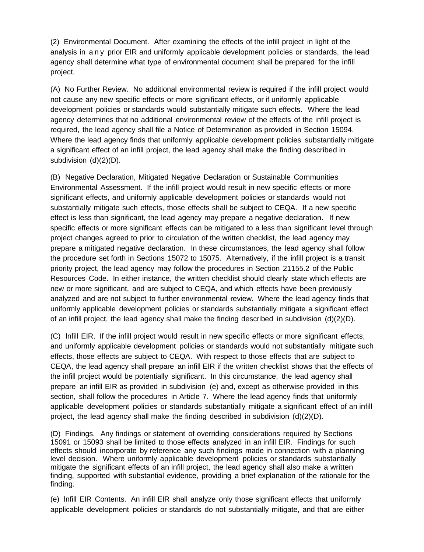(2) Environmental Document. After examining the effects of the infill project in light of the analysis in any prior EIR and uniformly applicable development policies or standards, the lead agency shall determine what type of environmental document shall be prepared for the infill project.

(A) No Further Review. No additional environmental review is required if the infill project would not cause any new specific effects or more significant effects, or if uniformly applicable development policies or standards would substantially mitigate such effects. Where the lead agency determines that no additional environmental review of the effects of the infill project is required, the lead agency shall file a Notice of Determination as provided in Section 15094. Where the lead agency finds that uniformly applicable development policies substantially mitigate a significant effect of an infill project, the lead agency shall make the finding described in subdivision (d)(2)(D).

(B) Negative Declaration, Mitigated Negative Declaration or Sustainable Communities Environmental Assessment. If the infill project would result in new specific effects or more significant effects, and uniformly applicable development policies or standards would not substantially mitigate such effects, those effects shall be subject to CEQA. If a new specific effect is less than significant, the lead agency may prepare a negative declaration. If new specific effects or more significant effects can be mitigated to a less than significant level through project changes agreed to prior to circulation of the written checklist, the lead agency may prepare a mitigated negative declaration. In these circumstances, the lead agency shall follow the procedure set forth in Sections 15072 to 15075. Alternatively, if the infill project is a transit priority project, the lead agency may follow the procedures in Section 21155.2 of the Public Resources Code. In either instance, the written checklist should clearly state which effects are new or more significant, and are subject to CEQA, and which effects have been previously analyzed and are not subject to further environmental review. Where the lead agency finds that uniformly applicable development policies or standards substantially mitigate a significant effect of an infill project, the lead agency shall make the finding described in subdivision  $(d)(2)(D)$ .

(C) lnfill EIR. If the infill project would result in new specific effects or more significant effects, and uniformly applicable development policies or standards would not substantially mitigate such effects, those effects are subject to CEQA. With respect to those effects that are subject to CEQA, the lead agency shall prepare an infill EIR if the written checklist shows that the effects of the infill project would be potentially significant. In this circumstance, the lead agency shall prepare an infill EIR as provided in subdivision (e) and, except as otherwise provided in this section, shall follow the procedures in Article 7. Where the lead agency finds that uniformly applicable development policies or standards substantially mitigate a significant effect of an infill project, the lead agency shall make the finding described in subdivision  $(d)(2)(D)$ .

(D) Findings. Any findings or statement of overriding considerations required by Sections 15091 or 15093 shall be limited to those effects analyzed in an infill EIR. Findings for such effects should incorporate by reference any such findings made in connection with a planning level decision. Where uniformly applicable development policies or standards substantially mitigate the significant effects of an infill project, the lead agency shall also make a written finding, supported with substantial evidence, providing a brief explanation of the rationale for the finding.

(e) lnfill EIR Contents. An infill EIR shall analyze only those significant effects that uniformly applicable development policies or standards do not substantially mitigate, and that are either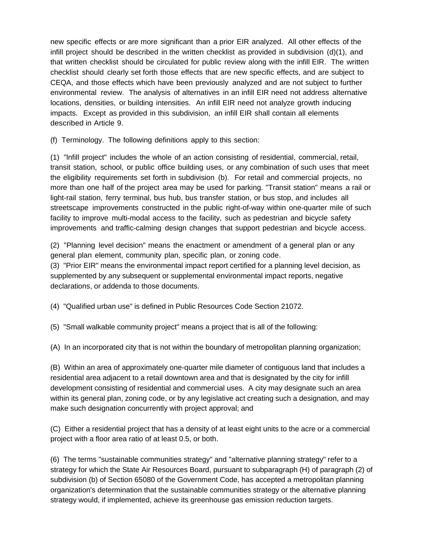new specific effects or are more significant than a prior EIR analyzed. All other effects of the infill project should be described in the written checklist as provided in subdivision (d)(1), and that written checklist should be circulated for public review along with the infill EIR. The written checklist should clearly set forth those effects that are new specific effects, and are subject to CEQA, and those effects which have been previously analyzed and are not subject to further environmental review. The analysis of alternatives in an infill EIR need not address alternative locations, densities, or building intensities. An infill EIR need not analyze growth inducing impacts. Except as provided in this subdivision, an infill EIR shall contain all elements described in Article 9.

(f) Terminology. The following definitions apply to this section:

(1) "lnfill project" includes the whole of an action consisting of residential, commercial, retail, transit station, school, or public office building uses, or any combination of such uses that meet the eligibility requirements set forth in subdivision (b). For retail and commercial projects, no more than one half of the project area may be used for parking. "Transit station" means a rail or light-rail station, ferry terminal, bus hub, bus transfer station, or bus stop, and includes all streetscape improvements constructed in the public right-of-way within one-quarter mile of such facility to improve multi-modal access to the facility, such as pedestrian and bicycle safety improvements and traffic-calming design changes that support pedestrian and bicycle access.

(2) "Planning level decision" means the enactment or amendment of a general plan or any general plan element, community plan, specific plan, or zoning code.

(3) "Prior EIR" means the environmental impact report certified for a planning level decision, as supplemented by any subsequent or supplemental environmental impact reports, negative declarations, or addenda to those documents.

(4) "Qualified urban use" is defined in Public Resources Code Section 21072.

(5) "Small walkable community project" means a project that is all of the following:

(A) In an incorporated city that is not within the boundary of metropolitan planning organization;

(B) Within an area of approximately one-quarter mile diameter of contiguous land that includes a residential area adjacent to a retail downtown area and that is designated by the city for infill development consisting of residential and commercial uses. A city may designate such an area within its general plan, zoning code, or by any legislative act creating such a designation, and may make such designation concurrently with project approval; and

(C) Either a residential project that has a density of at least eight units to the acre or a commercial project with a floor area ratio of at least 0.5, or both.

(6) The terms "sustainable communities strategy" and "alternative planning strategy" refer to a strategy for which the State Air Resources Board, pursuant to subparagraph (H) of paragraph (2) of subdivision (b) of Section 65080 of the Government Code, has accepted a metropolitan planning organization's determination that the sustainable communities strategy or the alternative planning strategy would, if implemented, achieve its greenhouse gas emission reduction targets.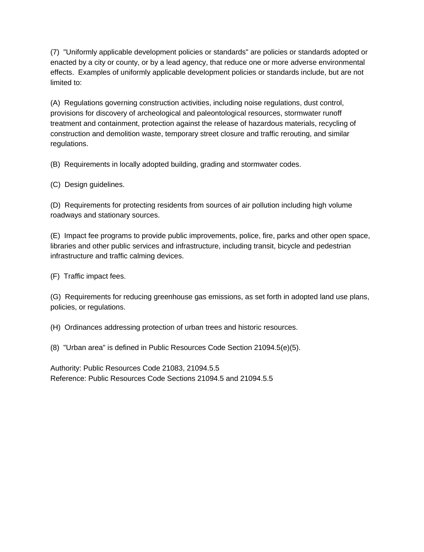(7) "Uniformly applicable development policies or standards" are policies or standards adopted or enacted by a city or county, or by a lead agency, that reduce one or more adverse environmental effects. Examples of uniformly applicable development policies or standards include, but are not limited to:

(A) Regulations governing construction activities, including noise regulations, dust control, provisions for discovery of archeological and paleontological resources, stormwater runoff treatment and containment, protection against the release of hazardous materials, recycling of construction and demolition waste, temporary street closure and traffic rerouting, and similar regulations.

(B) Requirements in locally adopted building, grading and stormwater codes.

(C) Design guidelines.

(D) Requirements for protecting residents from sources of air pollution including high volume roadways and stationary sources.

(E) Impact fee programs to provide public improvements, police, fire, parks and other open space, libraries and other public services and infrastructure, including transit, bicycle and pedestrian infrastructure and traffic calming devices.

(F) Traffic impact fees.

(G) Requirements for reducing greenhouse gas emissions, as set forth in adopted land use plans, policies, or regulations.

(H) Ordinances addressing protection of urban trees and historic resources.

(8) "Urban area" is defined in Public Resources Code Section 21094.5(e)(5).

Authority: Public Resources Code 21083, 21094.5.5 Reference: Public Resources Code Sections 21094.5 and 21094.5.5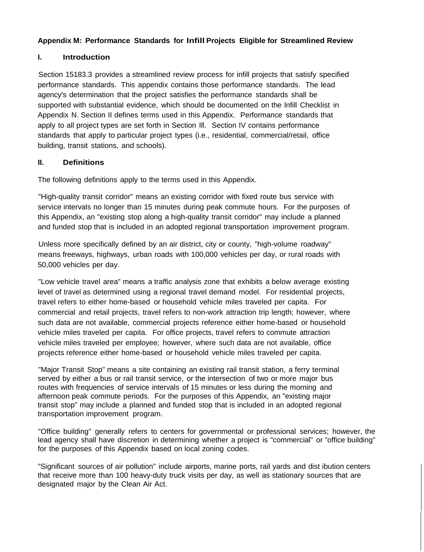### **Appendix M: Performance Standards for lnfill Projects Eligible for Streamlined Review**

### **I. Introduction**

Section 15183.3 provides a streamlined review process for infill projects that satisfy specified performance standards. This appendix contains those performance standards. The lead agency's determination that the project satisfies the performance standards shall be supported with substantial evidence, which should be documented on the lnfill Checklist in Appendix N. Section II defines terms used in this Appendix. Performance standards that apply to all project types are set forth in Section Ill. Section IV contains performance standards that apply to particular project types (i.e., residential, commercial/retail, office building, transit stations, and schools).

### **II. Definitions**

The following definitions apply to the terms used in this Appendix.

"High-quality transit corridor" means an existing corridor with fixed route bus service with service intervals no longer than 15 minutes during peak commute hours. For the purposes of this Appendix, an "existing stop along a high-quality transit corridor" may include a planned and funded stop that is included in an adopted regional transportation improvement program.

Unless more specifically defined by an air district, city or county, "high-volume roadway" means freeways, highways, urban roads with 100,000 vehicles per day, or rural roads with 50,000 vehicles per day.

"Low vehicle travel area" means a traffic analysis zone that exhibits a below average existing level of travel as determined using a regional travel demand model. For residential projects, travel refers to either home-based or household vehicle miles traveled per capita. For commercial and retail projects, travel refers to non-work attraction trip length; however, where such data are not available, commercial projects reference either home-based or household vehicle miles traveled per capita. For office projects, travel refers to commute attraction vehicle miles traveled per employee; however, where such data are not available, office projects reference either home-based or household vehicle miles traveled per capita.

"Major Transit Stop" means a site containing an existing rail transit station, a ferry terminal served by either a bus or rail transit service, or the intersection of two or more major bus routes with frequencies of service intervals of 15 minutes or less during the morning and afternoon peak commute periods. For the purposes of this Appendix, an "existing major transit stop" may include a planned and funded stop that is included in an adopted regional transportation improvement program.

"Office building" generally refers to centers for governmental or professional services; however, the lead agency shall have discretion in determining whether a project is "commercial" or "office building" for the purposes of this Appendix based on local zoning codes.

"Significant sources of air pollution" include airports, marine ports, rail yards and dist ibution centers that receive more than 100 heavy-duty truck visits per day, as well as stationary sources that are designated major by the Clean Air Act.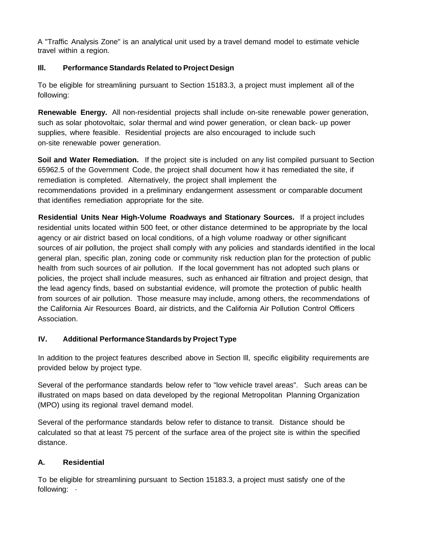A "Traffic Analysis Zone" is an analytical unit used by a travel demand model to estimate vehicle travel within a region.

## **Ill. Performance Standards Related to Project Design**

To be eligible for streamlining pursuant to Section 15183.3, a project must implement all of the following:

**Renewable Energy.** All non-residential projects shall include on-site renewable power generation, such as solar photovoltaic, solar thermal and wind power generation, or clean back- up power supplies, where feasible. Residential projects are also encouraged to include such on-site renewable power generation.

**Soil and Water Remediation.** If the project site is included on any list compiled pursuant to Section 65962.5 of the Government Code, the project shall document how it has remediated the site, if remediation is completed. Alternatively, the project shall implement the recommendations provided in a preliminary endangerment assessment or comparable document that identifies remediation appropriate for the site.

**Residential Units Near High-Volume Roadways and Stationary Sources.** If a project includes residential units located within 500 feet, or other distance determined to be appropriate by the local agency or air district based on local conditions, of a high volume roadway or other significant sources of air pollution, the project shall comply with any policies and standards identified in the local general plan, specific plan, zoning code or community risk reduction plan for the protection of public health from such sources of air pollution. If the local government has not adopted such plans or policies, the project shall include measures, such as enhanced air filtration and project design, that the lead agency finds, based on substantial evidence, will promote the protection of public health from sources of air pollution. Those measure may include, among others, the recommendations of the California Air Resources Board, air districts, and the California Air Pollution Control Officers Association.

# **IV. Additional PerformanceStandards by Project Type**

In addition to the project features described above in Section Ill, specific eligibility requirements are provided below by project type.

Several of the performance standards below refer to "low vehicle travel areas". Such areas can be illustrated on maps based on data developed by the regional Metropolitan Planning Organization (MPO) using its regional travel demand model.

Several of the performance standards below refer to distance to transit. Distance should be calculated so that at least 75 percent of the surface area of the project site is within the specified distance.

# **A. Residential**

To be eligible for streamlining pursuant to Section 15183.3, a project must satisfy one of the following: ·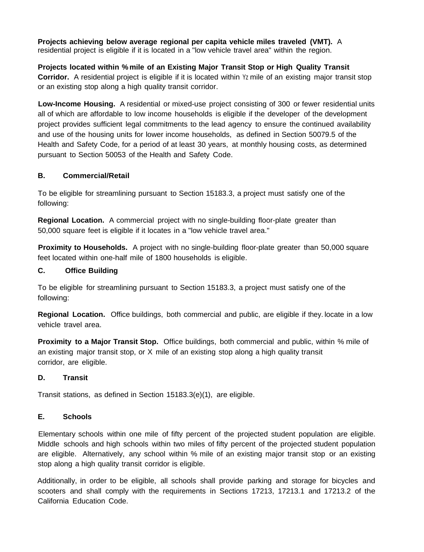**Projects achieving below average regional per capita vehicle miles traveled (VMT).** A residential project is eligible if it is located in a "low vehicle travel area" within the region.

**Projects located within % mile of an Existing Major Transit Stop or High Quality Transit Corridor.** A residential project is eligible if it is located within Yz mile of an existing major transit stop or an existing stop along a high quality transit corridor.

**Low-Income Housing.** A residential or mixed-use project consisting of 300 or fewer residential units all of which are affordable to low income households is eligible if the developer of the development project provides sufficient legal commitments to the lead agency to ensure the continued availability and use of the housing units for lower income households, as defined in Section 50079.5 of the Health and Safety Code, for a period of at least 30 years, at monthly housing costs, as determined pursuant to Section 50053 of the Health and Safety Code.

### **B. Commercial/Retail**

To be eligible for streamlining pursuant to Section 15183.3, a project must satisfy one of the following:

**Regional Location.** A commercial project with no single-building floor-plate greater than 50,000 square feet is eligible if it locates in a "low vehicle travel area."

**Proximity to Households.** A project with no single-building floor-plate greater than 50,000 square feet located within one-half mile of 1800 households is eligible.

### **C. Office Building**

To be eligible for streamlining pursuant to Section 15183.3, a project must satisfy one of the following:

**Regional Location.** Office buildings, both commercial and public, are eligible if they. locate in a low vehicle travel area.

**Proximity to a Major Transit Stop.** Office buildings, both commercial and public, within % mile of an existing major transit stop, or X mile of an existing stop along a high quality transit corridor, are eligible.

#### **D. Transit**

Transit stations, as defined in Section 15183.3(e)(1), are eligible.

#### **E. Schools**

Elementary schools within one mile of fifty percent of the projected student population are eligible. Middle schools and high schools within two miles of fifty percent of the projected student population are eligible. Alternatively, any school within % mile of an existing major transit stop or an existing stop along a high quality transit corridor is eligible.

Additionally, in order to be eligible, all schools shall provide parking and storage for bicycles and scooters and shall comply with the requirements in Sections 17213, 17213.1 and 17213.2 of the California Education Code.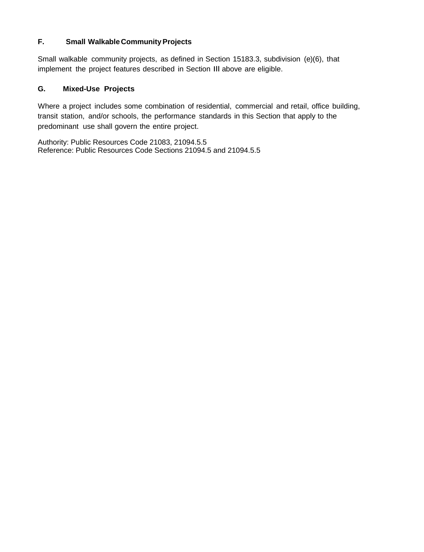### **F. Small Walkable CommunityProjects**

Small walkable community projects, as defined in Section 15183.3, subdivision (e)(6), that implement the project features described in Section Ill above are eligible.

### **G. Mixed-Use Projects**

Where a project includes some combination of residential, commercial and retail, office building, transit station, and/or schools, the performance standards in this Section that apply to the predominant use shall govern the entire project.

Authority: Public Resources Code 21083, 21094.5.5 Reference: Public Resources Code Sections 21094.5 and 21094.5.5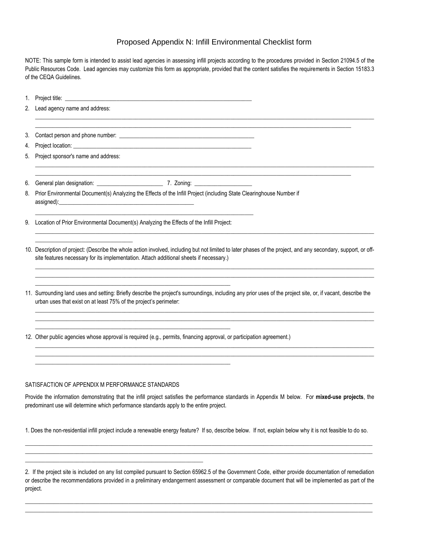#### Proposed Appendix N: Infill Environmental Checklist form

NOTE: This sample form is intended to assist lead agencies in assessing infill projects according to the procedures provided in Section 21094.5 of the Public Resources Code. Lead agencies may customize this form as appropriate, provided that the content satisfies the requirements in Section 15183.3 of the CEQA Guidelines.

\_\_\_\_\_\_\_\_\_\_\_\_\_\_\_\_\_\_\_\_\_\_\_\_\_\_\_\_\_\_\_\_\_\_\_\_\_\_\_\_\_\_\_\_\_\_\_\_\_\_\_\_\_\_\_\_\_\_\_\_\_\_\_\_\_\_\_\_\_\_\_\_\_\_\_\_\_\_\_\_\_\_\_\_\_\_\_\_\_\_\_\_\_\_\_\_\_\_\_\_\_\_\_\_\_\_\_\_\_\_

\_\_\_\_\_\_\_\_\_\_\_\_\_\_\_\_\_\_\_\_\_\_\_\_\_\_\_\_\_\_\_\_\_\_\_\_\_\_\_\_\_\_\_\_\_\_\_\_\_\_\_\_\_\_\_\_\_\_\_\_\_\_\_\_\_\_\_\_\_\_\_\_\_\_\_\_\_\_\_\_\_\_\_\_\_\_\_\_\_\_\_\_\_\_\_\_\_\_\_\_\_\_\_\_\_\_\_\_\_\_

 $\_$  ,  $\_$  ,  $\_$  ,  $\_$  ,  $\_$  ,  $\_$  ,  $\_$  ,  $\_$  ,  $\_$  ,  $\_$  ,  $\_$  ,  $\_$  ,  $\_$  ,  $\_$  ,  $\_$  ,  $\_$  ,  $\_$  ,  $\_$  ,  $\_$  ,  $\_$  ,  $\_$  ,  $\_$  ,  $\_$  ,  $\_$  ,  $\_$  ,  $\_$  ,  $\_$  ,  $\_$  ,  $\_$  ,  $\_$  ,  $\_$  ,  $\_$  ,  $\_$  ,  $\_$  ,  $\_$  ,  $\_$  ,  $\_$  ,

- 1. Project title:
- 2. Lead agency name and address:  $\_$  ,  $\_$  ,  $\_$  ,  $\_$  ,  $\_$  ,  $\_$  ,  $\_$  ,  $\_$  ,  $\_$  ,  $\_$  ,  $\_$  ,  $\_$  ,  $\_$  ,  $\_$  ,  $\_$  ,  $\_$  ,  $\_$  ,  $\_$  ,  $\_$  ,  $\_$  ,  $\_$  ,  $\_$  ,  $\_$  ,  $\_$  ,  $\_$  ,  $\_$  ,  $\_$  ,  $\_$  ,  $\_$  ,  $\_$  ,  $\_$  ,  $\_$  ,  $\_$  ,  $\_$  ,  $\_$  ,  $\_$  ,  $\_$  ,
- 3. Contact person and phone number: \_\_\_\_\_\_\_\_\_\_\_\_\_\_\_\_\_\_\_\_\_\_\_\_\_\_\_\_\_\_\_\_\_\_\_\_\_\_\_\_\_\_\_\_\_\_\_
- 4. Project location:
- 5. Project sponsor's name and address:

\_\_\_\_\_\_\_\_\_\_\_\_\_\_\_\_\_\_\_\_\_\_\_\_\_\_\_\_\_\_\_\_\_\_

6. General plan designation: \_\_\_\_\_\_\_\_\_\_\_\_\_\_\_\_\_\_\_\_\_\_\_ 7. Zoning: \_\_\_\_\_\_\_\_\_\_\_\_\_\_\_\_\_\_\_\_

- 8. Prior Environmental Document(s) Analyzing the Effects of the Infill Project (including State Clearinghouse Number if assigned):
- 9. Location of Prior Environmental Document(s) Analyzing the Effects of the Infill Project:

\_\_\_\_\_\_\_\_\_\_\_\_\_\_\_\_\_\_\_\_\_\_\_\_\_\_\_\_\_\_\_\_\_\_\_\_\_\_\_\_\_\_\_\_\_\_\_\_\_\_\_\_\_\_\_\_\_\_\_\_\_\_\_\_\_\_\_\_

\_\_\_\_\_\_\_\_\_\_\_\_\_\_\_\_\_\_\_\_\_\_\_\_\_\_\_\_\_\_\_\_\_\_\_\_\_\_\_\_\_\_\_\_\_\_\_\_\_\_\_\_\_\_\_\_\_\_\_\_\_\_\_\_\_\_\_\_

\_\_\_\_\_\_\_\_\_\_\_\_\_\_\_\_\_\_\_\_\_\_\_\_\_\_\_\_\_\_\_\_\_\_\_\_\_\_\_\_\_\_\_\_\_\_\_\_\_\_\_\_\_\_\_\_\_\_\_\_\_\_\_\_\_\_\_\_

\_\_\_\_\_\_\_\_\_\_\_\_\_\_\_\_\_\_\_\_\_\_\_\_\_\_\_\_\_\_\_\_\_\_\_\_\_\_\_\_\_\_\_\_\_\_\_\_\_\_\_\_\_\_\_\_\_\_\_\_\_\_\_\_\_\_\_\_\_\_\_\_\_\_\_\_

10. Description of project: (Describe the whole action involved, including but not limited to later phases of the project, and any secondary, support, or offsite features necessary for its implementation. Attach additional sheets if necessary.)

 $\_$  ,  $\_$  ,  $\_$  ,  $\_$  ,  $\_$  ,  $\_$  ,  $\_$  ,  $\_$  ,  $\_$  ,  $\_$  ,  $\_$  ,  $\_$  ,  $\_$  ,  $\_$  ,  $\_$  ,  $\_$  ,  $\_$  ,  $\_$  ,  $\_$  ,  $\_$  ,  $\_$  ,  $\_$  ,  $\_$  ,  $\_$  ,  $\_$  ,  $\_$  ,  $\_$  ,  $\_$  ,  $\_$  ,  $\_$  ,  $\_$  ,  $\_$  ,  $\_$  ,  $\_$  ,  $\_$  ,  $\_$  ,  $\_$  ,  $\_$  ,  $\_$  ,  $\_$  ,  $\_$  ,  $\_$  ,  $\_$  ,  $\_$  ,  $\_$  ,  $\_$  ,  $\_$  ,  $\_$  ,  $\_$  ,  $\_$  ,  $\_$  ,  $\_$  ,  $\_$  ,  $\_$  ,  $\_$  ,  $\_$  ,  $\_$  ,  $\_$  ,  $\_$  ,  $\_$  ,  $\_$  ,  $\_$  ,  $\_$  ,  $\_$  ,  $\_$  ,  $\_$  ,  $\_$  ,  $\_$  ,  $\_$  ,  $\_$  ,  $\_$  ,  $\_$  ,  $\_$  ,  $\_$  ,

 $\_$  ,  $\_$  ,  $\_$  ,  $\_$  ,  $\_$  ,  $\_$  ,  $\_$  ,  $\_$  ,  $\_$  ,  $\_$  ,  $\_$  ,  $\_$  ,  $\_$  ,  $\_$  ,  $\_$  ,  $\_$  ,  $\_$  ,  $\_$  ,  $\_$  ,  $\_$  ,  $\_$  ,  $\_$  ,  $\_$  ,  $\_$  ,  $\_$  ,  $\_$  ,  $\_$  ,  $\_$  ,  $\_$  ,  $\_$  ,  $\_$  ,  $\_$  ,  $\_$  ,  $\_$  ,  $\_$  ,  $\_$  ,  $\_$  ,

11. Surrounding land uses and setting: Briefly describe the project's surroundings, including any prior uses of the project site, or, if vacant, describe the urban uses that exist on at least 75% of the project's perimeter:

 $\_$  ,  $\_$  ,  $\_$  ,  $\_$  ,  $\_$  ,  $\_$  ,  $\_$  ,  $\_$  ,  $\_$  ,  $\_$  ,  $\_$  ,  $\_$  ,  $\_$  ,  $\_$  ,  $\_$  ,  $\_$  ,  $\_$  ,  $\_$  ,  $\_$  ,  $\_$  ,  $\_$  ,  $\_$  ,  $\_$  ,  $\_$  ,  $\_$  ,  $\_$  ,  $\_$  ,  $\_$  ,  $\_$  ,  $\_$  ,  $\_$  ,  $\_$  ,  $\_$  ,  $\_$  ,  $\_$  ,  $\_$  ,  $\_$  , \_\_\_\_\_\_\_\_\_\_\_\_\_\_\_\_\_\_\_\_\_\_\_\_\_\_\_\_\_\_\_\_\_\_\_\_\_\_\_\_\_\_\_\_\_\_\_\_\_\_\_\_\_\_\_\_\_\_\_\_\_\_\_\_\_\_\_\_\_\_\_\_\_\_\_\_\_\_\_\_\_\_\_\_\_\_\_\_\_\_\_\_\_\_\_\_\_\_\_\_\_\_\_\_\_\_\_\_\_\_\_\_\_\_\_\_\_\_

 $\_$  ,  $\_$  ,  $\_$  ,  $\_$  ,  $\_$  ,  $\_$  ,  $\_$  ,  $\_$  ,  $\_$  ,  $\_$  ,  $\_$  ,  $\_$  ,  $\_$  ,  $\_$  ,  $\_$  ,  $\_$  ,  $\_$  ,  $\_$  ,  $\_$  ,  $\_$  ,  $\_$  ,  $\_$  ,  $\_$  ,  $\_$  ,  $\_$  ,  $\_$  ,  $\_$  ,  $\_$  ,  $\_$  ,  $\_$  ,  $\_$  ,  $\_$  ,  $\_$  ,  $\_$  ,  $\_$  ,  $\_$  ,  $\_$  ,  $\_$  ,  $\_$  ,  $\_$  ,  $\_$  ,  $\_$  ,  $\_$  ,  $\_$  ,  $\_$  ,  $\_$  ,  $\_$  ,  $\_$  ,  $\_$  ,  $\_$  ,  $\_$  ,  $\_$  ,  $\_$  ,  $\_$  ,  $\_$  ,  $\_$  ,  $\_$  ,  $\_$  ,  $\_$  ,  $\_$  ,  $\_$  ,  $\_$  ,  $\_$  ,  $\_$  ,  $\_$  ,  $\_$  ,  $\_$  ,  $\_$  ,  $\_$  ,  $\_$  ,  $\_$  ,  $\_$  ,  $\_$  ,  $\_$  ,

12. Other public agencies whose approval is required (e.g., permits, financing approval, or participation agreement.)

#### SATISFACTION OF APPENDIX M PERFORMANCE STANDARDS

\_\_\_\_\_\_\_\_\_\_\_\_\_\_\_\_\_\_\_\_\_\_\_\_\_\_\_\_\_\_\_\_\_\_\_\_\_\_\_\_\_\_\_\_\_\_\_\_\_\_\_\_\_\_\_\_\_\_\_\_\_\_

Provide the information demonstrating that the infill project satisfies the performance standards in Appendix M below. For **mixed-use projects**, the predominant use will determine which performance standards apply to the entire project.

1. Does the non-residential infill project include a renewable energy feature? If so, describe below. If not, explain below why it is not feasible to do so.  $\Box$  . The contribution of the contribution of the contribution of the contribution of the contribution of the contribution of the contribution of the contribution of the contribution of the contribution of the contributi

\_\_\_\_\_\_\_\_\_\_\_\_\_\_\_\_\_\_\_\_\_\_\_\_\_\_\_\_\_\_\_\_\_\_\_\_\_\_\_\_\_\_\_\_\_\_\_\_\_\_\_\_\_\_\_\_\_\_\_\_\_\_\_\_\_\_\_\_\_\_\_\_\_\_\_\_\_\_\_\_\_\_\_\_\_\_\_\_\_\_\_\_\_\_\_\_\_\_\_\_\_\_\_\_\_\_\_\_\_\_\_\_\_\_\_\_\_\_\_\_\_

 $\Box \rightarrow \Box \rightarrow \Box$  $\Box$  . The contribution of the contribution of the contribution of the contribution of the contribution of the contribution of the contribution of the contribution of the contribution of the contribution of the contributi

<sup>2.</sup> If the project site is included on any list compiled pursuant to Section 65962.5 of the Government Code, either provide documentation of remediation or describe the recommendations provided in a preliminary endangerment assessment or comparable document that will be implemented as part of the project.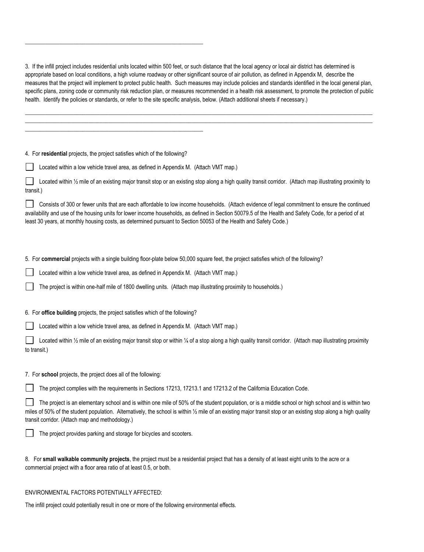3. If the infill project includes residential units located within 500 feet, or such distance that the local agency or local air district has determined is appropriate based on local conditions, a high volume roadway or other significant source of air pollution, as defined in Appendix M, describe the measures that the project will implement to protect public health. Such measures may include policies and standards identified in the local general plan, specific plans, zoning code or community risk reduction plan, or measures recommended in a health risk assessment, to promote the protection of public health. Identify the policies or standards, or refer to the site specific analysis, below. (Attach additional sheets if necessary.)

 $\Box \rightarrow \Box \rightarrow \Box$  $\Box$  . The contribution of the contribution of the contribution of the contribution of the contribution of the contribution of the contribution of the contribution of the contribution of the contribution of the contributi

4. For **residential** projects, the project satisfies which of the following?

\_\_\_\_\_\_\_\_\_\_\_\_\_\_\_\_\_\_\_\_\_\_\_\_\_\_\_\_\_\_\_\_\_\_\_\_\_\_\_\_\_\_\_\_\_\_\_\_\_\_\_\_\_\_\_\_\_\_\_\_\_\_

\_\_\_\_\_\_\_\_\_\_\_\_\_\_\_\_\_\_\_\_\_\_\_\_\_\_\_\_\_\_\_\_\_\_\_\_\_\_\_\_\_\_\_\_\_\_\_\_\_\_\_\_\_\_\_\_\_\_\_\_\_\_

Located within a low vehicle travel area, as defined in Appendix M. (Attach VMT map.)

Located within 1/2 mile of an existing major transit stop or an existing stop along a high quality transit corridor. (Attach map illustrating proximity to transit.)

 Consists of 300 or fewer units that are each affordable to low income households. (Attach evidence of legal commitment to ensure the continued availability and use of the housing units for lower income households, as defined in Section 50079.5 of the Health and Safety Code, for a period of at least 30 years, at monthly housing costs, as determined pursuant to Section 50053 of the Health and Safety Code.)

5. For **commercial** projects with a single building floor-plate below 50,000 square feet, the project satisfies which of the following?

Located within a low vehicle travel area, as defined in Appendix M. (Attach VMT map.)

The project is within one-half mile of 1800 dwelling units. (Attach map illustrating proximity to households.)

6. For **office building** projects, the project satisfies which of the following?

Located within a low vehicle travel area, as defined in Appendix M. (Attach VMT map.)

Located within 1/2 mile of an existing major transit stop or within 1/4 of a stop along a high quality transit corridor. (Attach map illustrating proximity to transit.)

7. For **school** projects, the project does all of the following:

The project complies with the requirements in Sections 17213, 17213.1 and 17213.2 of the California Education Code.

 The project is an elementary school and is within one mile of 50% of the student population, or is a middle school or high school and is within two miles of 50% of the student population. Alternatively, the school is within  $\frac{1}{2}$  mile of an existing major transit stop or an existing stop along a high quality transit corridor. (Attach map and methodology.)

The project provides parking and storage for bicycles and scooters.

| 8. For small walkable community projects, the project must be a residential project that has a density of at least eight units to the acre or a |  |  |
|-------------------------------------------------------------------------------------------------------------------------------------------------|--|--|
| commercial project with a floor area ratio of at least 0.5, or both.                                                                            |  |  |

#### ENVIRONMENTAL FACTORS POTENTIALLY AFFECTED:

The infill project could potentially result in one or more of the following environmental effects.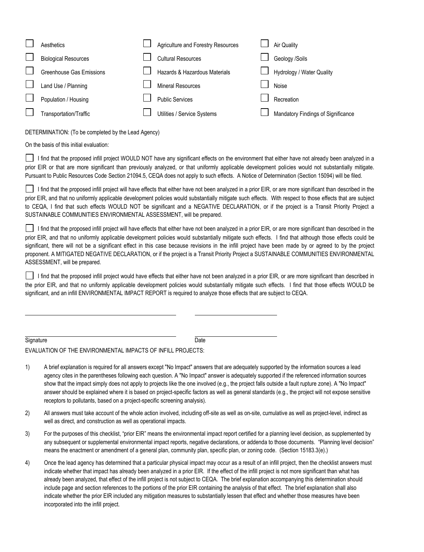| Aesthetics                      | <b>Agriculture and Forestry Resources</b> | Air Quality                        |
|---------------------------------|-------------------------------------------|------------------------------------|
| <b>Biological Resources</b>     | <b>Cultural Resources</b>                 | Geology /Soils                     |
| <b>Greenhouse Gas Emissions</b> | Hazards & Hazardous Materials             | Hydrology / Water Quality          |
| Land Use / Planning             | <b>Mineral Resources</b>                  | <b>Noise</b>                       |
| Population / Housing            | <b>Public Services</b>                    | Recreation                         |
| Transportation/Traffic          | Utilities / Service Systems               | Mandatory Findings of Significance |

DETERMINATION: (To be completed by the Lead Agency)

On the basis of this initial evaluation:

I find that the proposed infill project WOULD NOT have any significant effects on the environment that either have not already been analyzed in a prior EIR or that are more significant than previously analyzed, or that uniformly applicable development policies would not substantially mitigate. Pursuant to Public Resources Code Section 21094.5, CEQA does not apply to such effects. A Notice of Determination (Section 15094) will be filed.

I find that the proposed infill project will have effects that either have not been analyzed in a prior EIR, or are more significant than described in the prior EIR, and that no uniformly applicable development policies would substantially mitigate such effects. With respect to those effects that are subject to CEQA, I find that such effects WOULD NOT be significant and a NEGATIVE DECLARATION, or if the project is a Transit Priority Project a SUSTAINABLE COMMUNITIES ENVIRONMENTAL ASSESSMENT, will be prepared.

I find that the proposed infill project will have effects that either have not been analyzed in a prior EIR, or are more significant than described in the prior EIR, and that no uniformly applicable development policies would substantially mitigate such effects. I find that although those effects could be significant, there will not be a significant effect in this case because revisions in the infill project have been made by or agreed to by the project proponent. A MITIGATED NEGATIVE DECLARATION, or if the project is a Transit Priority Project a SUSTAINABLE COMMUNITIES ENVIRONMENTAL ASSESSMENT, will be prepared.

I find that the proposed infill project would have effects that either have not been analyzed in a prior EIR, or are more significant than described in the prior EIR, and that no uniformly applicable development policies would substantially mitigate such effects. I find that those effects WOULD be significant, and an infill ENVIRONMENTAL IMPACT REPORT is required to analyze those effects that are subject to CEQA.

Signature Date

EVALUATION OF THE ENVIRONMENTAL IMPACTS OF INFILL PROJECTS:

- 1) A brief explanation is required for all answers except "No Impact" answers that are adequately supported by the information sources a lead agency cites in the parentheses following each question. A "No Impact" answer is adequately supported if the referenced information sources show that the impact simply does not apply to projects like the one involved (e.g., the project falls outside a fault rupture zone). A "No Impact" answer should be explained where it is based on project-specific factors as well as general standards (e.g., the project will not expose sensitive receptors to pollutants, based on a project-specific screening analysis).
- 2) All answers must take account of the whole action involved, including off-site as well as on-site, cumulative as well as project-level, indirect as well as direct, and construction as well as operational impacts.
- 3) For the purposes of this checklist, "prior EIR" means the environmental impact report certified for a planning level decision, as supplemented by any subsequent or supplemental environmental impact reports, negative declarations, or addenda to those documents. "Planning level decision" means the enactment or amendment of a general plan, community plan, specific plan, or zoning code. (Section 15183.3(e).)
- 4) Once the lead agency has determined that a particular physical impact may occur as a result of an infill project, then the checklist answers must indicate whether that impact has already been analyzed in a prior EIR. If the effect of the infill project is not more significant than what has already been analyzed, that effect of the infill project is not subject to CEQA. The brief explanation accompanying this determination should include page and section references to the portions of the prior EIR containing the analysis of that effect. The brief explanation shall also indicate whether the prior EIR included any mitigation measures to substantially lessen that effect and whether those measures have been incorporated into the infill project.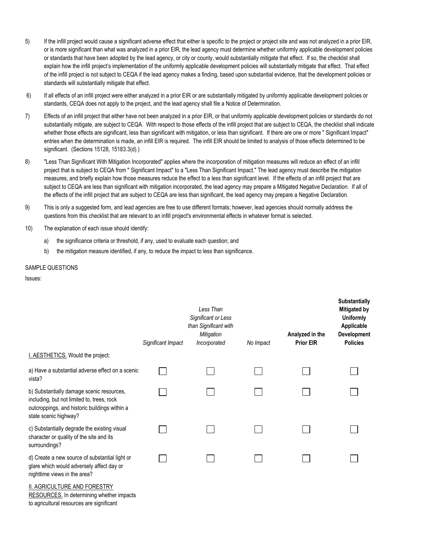- 5) If the infill project would cause a significant adverse effect that either is specific to the project or project site and was not analyzed in a prior EIR, or is more significant than what was analyzed in a prior EIR, the lead agency must determine whether uniformly applicable development policies or standards that have been adopted by the lead agency, or city or county, would substantially mitigate that effect. If so, the checklist shall explain how the infill project's implementation of the uniformly applicable development policies will substantially mitigate that effect. That effect of the infill project is not subject to CEQA if the lead agency makes a finding, based upon substantial evidence, that the development policies or standards will substantially mitigate that effect.
- 6) If all effects of an infill project were either analyzed in a prior EIR or are substantially mitigated by uniformly applicable development policies or standards, CEQA does not apply to the project, and the lead agency shall file a Notice of Determination.
- 7) Effects of an infill project that either have not been analyzed in a prior EIR, or that uniformly applicable development policies or standards do not substantially mitigate, are subject to CEQA. With respect to those effects of the infill project that are subject to CEQA, the checklist shall indicate whether those effects are significant, less than significant with mitigation, or less than significant. If there are one or more " Significant Impact" entries when the determination is made, an infill EIR is required. The infill EIR should be limited to analysis of those effects determined to be significant. (Sections 15128, 15183.3(d).)
- 8) "Less Than Significant With Mitigation Incorporated" applies where the incorporation of mitigation measures will reduce an effect of an infill project that is subject to CEQA from " Significant Impact" to a "Less Than Significant Impact." The lead agency must describe the mitigation measures, and briefly explain how those measures reduce the effect to a less than significant level. If the effects of an infill project that are subject to CEQA are less than significant with mitigation incorporated, the lead agency may prepare a Mitigated Negative Declaration. If all of the effects of the infill project that are subject to CEQA are less than significant, the lead agency may prepare a Negative Declaration.
- 9) This is only a suggested form, and lead agencies are free to use different formats; however, lead agencies should normally address the questions from this checklist that are relevant to an infill project's environmental effects in whatever format is selected.
- 10) The explanation of each issue should identify:
	- a) the significance criteria or threshold, if any, used to evaluate each question; and
	- b) the mitigation measure identified, if any, to reduce the impact to less than significance.

#### SAMPLE QUESTIONS

Issues:

|                                                                                                                                                                   | Significant Impact | Less Than<br>Significant or Less<br>than Significant with<br>Mitigation<br>Incorporated | No Impact | Analyzed in the<br><b>Prior EIR</b> | <b>JUDSTAITTIGIIY</b><br>Mitigated by<br><b>Uniformly</b><br>Applicable<br>Development<br><b>Policies</b> |
|-------------------------------------------------------------------------------------------------------------------------------------------------------------------|--------------------|-----------------------------------------------------------------------------------------|-----------|-------------------------------------|-----------------------------------------------------------------------------------------------------------|
| I. AESTHETICS. Would the project:                                                                                                                                 |                    |                                                                                         |           |                                     |                                                                                                           |
| a) Have a substantial adverse effect on a scenic<br>vista?                                                                                                        |                    |                                                                                         |           |                                     |                                                                                                           |
| b) Substantially damage scenic resources,<br>including, but not limited to, trees, rock<br>outcroppings, and historic buildings within a<br>state scenic highway? |                    |                                                                                         |           |                                     |                                                                                                           |
| c) Substantially degrade the existing visual<br>character or quality of the site and its<br>surroundings?                                                         |                    |                                                                                         |           |                                     |                                                                                                           |
| d) Create a new source of substantial light or<br>glare which would adversely affect day or<br>nighttime views in the area?                                       |                    |                                                                                         |           |                                     |                                                                                                           |
| <b>II. AGRICULTURE AND FORESTRY</b><br>RESOURCES. In determining whether impacts<br>to agricultural resources are significant                                     |                    |                                                                                         |           |                                     |                                                                                                           |

**Substantially**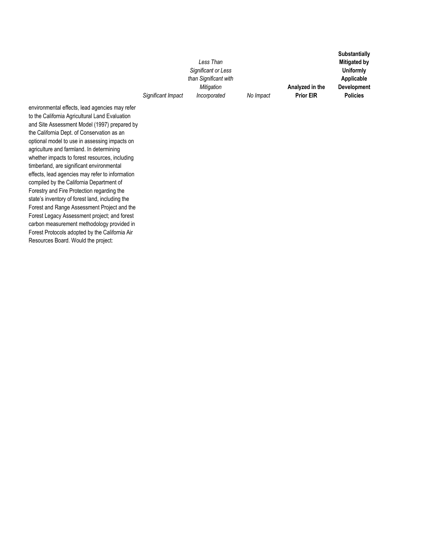*Significant Impact Less Than Significant or Less than Significant with Mitigation Incorporated No Impact*

**Analyzed in the Prior EIR Uniformly Applicable Development Policies**

**Substantially Mitigated by** 

environmental effects, lead agencies may refer to the California Agricultural Land Evaluation and Site Assessment Model (1997) prepared by the California Dept. of Conservation as an optional model to use in assessing impacts on agriculture and farmland. In determining whether impacts to forest resources, including timberland, are significant environmental effects, lead agencies may refer to information compiled by the California Department of Forestry and Fire Protection regarding the state's inventory of forest land, including the Forest and Range Assessment Project and the Forest Legacy Assessment project; and forest carbon measurement methodology provided in Forest Protocols adopted by the California Air Resources Board. Would the project: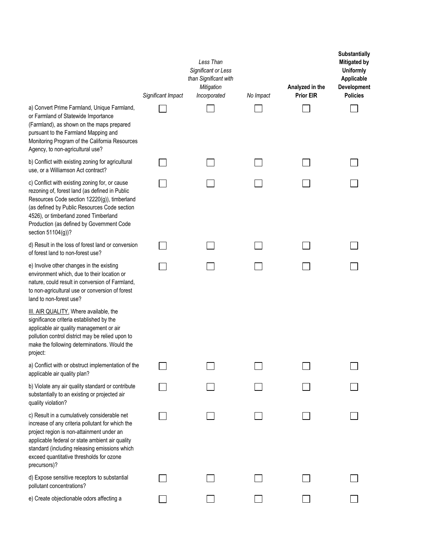|                                                                                                                                                                                                                                                                                                               | Significant Impact | Less Than<br>Significant or Less<br>than Significant with<br><b>Mitigation</b><br>Incorporated | No Impact | Analyzed in the<br><b>Prior EIR</b> | Substantially<br><b>Mitigated by</b><br><b>Uniformly</b><br>Applicable<br>Development<br><b>Policies</b> |
|---------------------------------------------------------------------------------------------------------------------------------------------------------------------------------------------------------------------------------------------------------------------------------------------------------------|--------------------|------------------------------------------------------------------------------------------------|-----------|-------------------------------------|----------------------------------------------------------------------------------------------------------|
| a) Convert Prime Farmland, Unique Farmland,<br>or Farmland of Statewide Importance<br>(Farmland), as shown on the maps prepared<br>pursuant to the Farmland Mapping and<br>Monitoring Program of the California Resources<br>Agency, to non-agricultural use?                                                 |                    |                                                                                                |           |                                     |                                                                                                          |
| b) Conflict with existing zoning for agricultural<br>use, or a Williamson Act contract?                                                                                                                                                                                                                       |                    |                                                                                                |           |                                     |                                                                                                          |
| c) Conflict with existing zoning for, or cause<br>rezoning of, forest land (as defined in Public<br>Resources Code section 12220(g)), timberland<br>(as defined by Public Resources Code section<br>4526), or timberland zoned Timberland<br>Production (as defined by Government Code<br>section 51104(g))?  |                    |                                                                                                |           |                                     |                                                                                                          |
| d) Result in the loss of forest land or conversion<br>of forest land to non-forest use?                                                                                                                                                                                                                       |                    |                                                                                                |           |                                     |                                                                                                          |
| e) Involve other changes in the existing<br>environment which, due to their location or<br>nature, could result in conversion of Farmland,<br>to non-agricultural use or conversion of forest<br>land to non-forest use?                                                                                      |                    |                                                                                                |           |                                     |                                                                                                          |
| III. AIR QUALITY. Where available, the<br>significance criteria established by the<br>applicable air quality management or air<br>pollution control district may be relied upon to<br>make the following determinations. Would the<br>project:                                                                |                    |                                                                                                |           |                                     |                                                                                                          |
| a) Conflict with or obstruct implementation of the<br>applicable air quality plan?                                                                                                                                                                                                                            |                    |                                                                                                |           |                                     |                                                                                                          |
| b) Violate any air quality standard or contribute<br>substantially to an existing or projected air<br>quality violation?                                                                                                                                                                                      |                    |                                                                                                |           |                                     |                                                                                                          |
| c) Result in a cumulatively considerable net<br>increase of any criteria pollutant for which the<br>project region is non-attainment under an<br>applicable federal or state ambient air quality<br>standard (including releasing emissions which<br>exceed quantitative thresholds for ozone<br>precursors)? |                    |                                                                                                |           |                                     |                                                                                                          |
| d) Expose sensitive receptors to substantial<br>pollutant concentrations?                                                                                                                                                                                                                                     |                    |                                                                                                |           |                                     |                                                                                                          |
| e) Create objectionable odors affecting a                                                                                                                                                                                                                                                                     |                    |                                                                                                |           |                                     |                                                                                                          |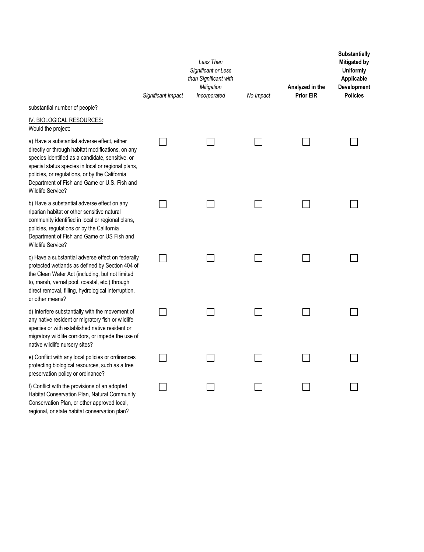|                                                                                                                                                                                                                                                                                                                                           | Significant Impact | Less Than<br>Significant or Less<br>than Significant with<br>Mitigation<br>Incorporated | No Impact | Analyzed in the<br><b>Prior EIR</b> | <b>Substantially</b><br><b>Mitigated by</b><br><b>Uniformly</b><br>Applicable<br>Development<br><b>Policies</b> |
|-------------------------------------------------------------------------------------------------------------------------------------------------------------------------------------------------------------------------------------------------------------------------------------------------------------------------------------------|--------------------|-----------------------------------------------------------------------------------------|-----------|-------------------------------------|-----------------------------------------------------------------------------------------------------------------|
| substantial number of people?                                                                                                                                                                                                                                                                                                             |                    |                                                                                         |           |                                     |                                                                                                                 |
| IV. BIOLOGICAL RESOURCES:<br>Would the project:                                                                                                                                                                                                                                                                                           |                    |                                                                                         |           |                                     |                                                                                                                 |
| a) Have a substantial adverse effect, either<br>directly or through habitat modifications, on any<br>species identified as a candidate, sensitive, or<br>special status species in local or regional plans,<br>policies, or regulations, or by the California<br>Department of Fish and Game or U.S. Fish and<br><b>Wildlife Service?</b> |                    |                                                                                         |           |                                     |                                                                                                                 |
| b) Have a substantial adverse effect on any<br>riparian habitat or other sensitive natural<br>community identified in local or regional plans,<br>policies, regulations or by the California<br>Department of Fish and Game or US Fish and<br>Wildlife Service?                                                                           |                    |                                                                                         |           |                                     |                                                                                                                 |
| c) Have a substantial adverse effect on federally<br>protected wetlands as defined by Section 404 of<br>the Clean Water Act (including, but not limited<br>to, marsh, vernal pool, coastal, etc.) through<br>direct removal, filling, hydrological interruption,<br>or other means?                                                       |                    |                                                                                         |           |                                     |                                                                                                                 |
| d) Interfere substantially with the movement of<br>any native resident or migratory fish or wildlife<br>species or with established native resident or<br>migratory wildlife corridors, or impede the use of<br>native wildlife nursery sites?                                                                                            |                    |                                                                                         |           |                                     |                                                                                                                 |
| e) Conflict with any local policies or ordinances<br>protecting biological resources, such as a tree<br>preservation policy or ordinance?                                                                                                                                                                                                 |                    |                                                                                         |           |                                     |                                                                                                                 |
| f) Conflict with the provisions of an adopted<br>Habitat Conservation Plan, Natural Community<br>Conservation Plan, or other approved local,<br>regional, or state habitat conservation plan?                                                                                                                                             |                    |                                                                                         |           |                                     |                                                                                                                 |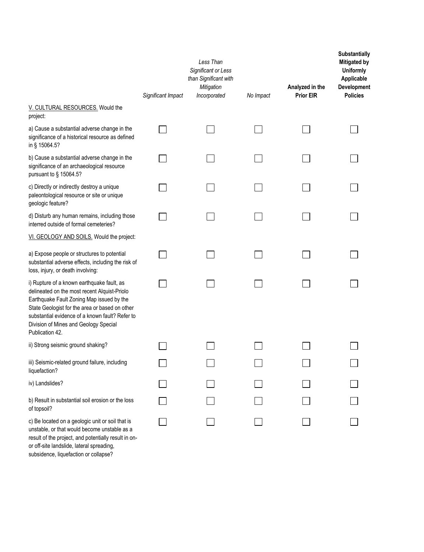|                                                                                                                                                                                                                                                                                                          | Significant Impact | Less Than<br>Significant or Less<br>than Significant with<br>Mitigation<br>Incorporated | No Impact | Analyzed in the<br><b>Prior EIR</b> | Substantially<br><b>Mitigated by</b><br><b>Uniformly</b><br>Applicable<br>Development<br><b>Policies</b> |
|----------------------------------------------------------------------------------------------------------------------------------------------------------------------------------------------------------------------------------------------------------------------------------------------------------|--------------------|-----------------------------------------------------------------------------------------|-----------|-------------------------------------|----------------------------------------------------------------------------------------------------------|
| V. CULTURAL RESOURCES. Would the<br>project:                                                                                                                                                                                                                                                             |                    |                                                                                         |           |                                     |                                                                                                          |
| a) Cause a substantial adverse change in the<br>significance of a historical resource as defined<br>in § 15064.5?                                                                                                                                                                                        |                    |                                                                                         |           |                                     |                                                                                                          |
| b) Cause a substantial adverse change in the<br>significance of an archaeological resource<br>pursuant to § 15064.5?                                                                                                                                                                                     |                    |                                                                                         |           |                                     |                                                                                                          |
| c) Directly or indirectly destroy a unique<br>paleontological resource or site or unique<br>geologic feature?                                                                                                                                                                                            |                    |                                                                                         |           |                                     |                                                                                                          |
| d) Disturb any human remains, including those<br>interred outside of formal cemeteries?                                                                                                                                                                                                                  |                    |                                                                                         |           |                                     |                                                                                                          |
| VI. GEOLOGY AND SOILS. Would the project:                                                                                                                                                                                                                                                                |                    |                                                                                         |           |                                     |                                                                                                          |
| a) Expose people or structures to potential<br>substantial adverse effects, including the risk of<br>loss, injury, or death involving:                                                                                                                                                                   |                    |                                                                                         |           |                                     |                                                                                                          |
| i) Rupture of a known earthquake fault, as<br>delineated on the most recent Alquist-Priolo<br>Earthquake Fault Zoning Map issued by the<br>State Geologist for the area or based on other<br>substantial evidence of a known fault? Refer to<br>Division of Mines and Geology Special<br>Publication 42. |                    |                                                                                         |           |                                     |                                                                                                          |
| ii) Strong seismic ground shaking?                                                                                                                                                                                                                                                                       |                    |                                                                                         |           |                                     |                                                                                                          |
| iii) Seismic-related ground failure, including<br>liquefaction?                                                                                                                                                                                                                                          |                    |                                                                                         |           |                                     |                                                                                                          |
| iv) Landslides?                                                                                                                                                                                                                                                                                          |                    |                                                                                         |           |                                     |                                                                                                          |
| b) Result in substantial soil erosion or the loss<br>of topsoil?                                                                                                                                                                                                                                         |                    |                                                                                         |           |                                     |                                                                                                          |
| c) Be located on a geologic unit or soil that is<br>unstable, or that would become unstable as a<br>result of the project, and potentially result in on-                                                                                                                                                 |                    |                                                                                         |           |                                     |                                                                                                          |

or off-site landslide, lateral spreading, subsidence, liquefaction or collapse?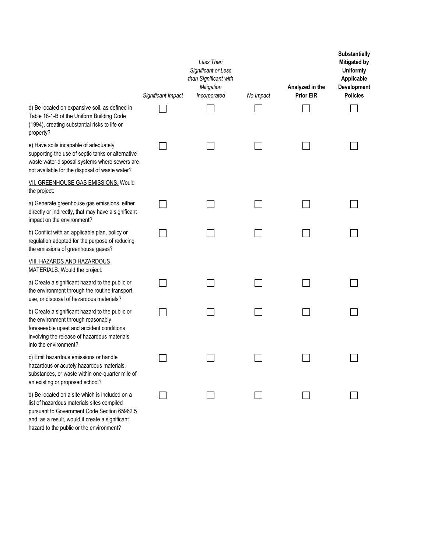|                                                                                                                                                                                                                                            | Significant Impact | Less Than<br>Significant or Less<br>than Significant with<br>Mitigation<br>Incorporated | No Impact | Analyzed in the<br><b>Prior EIR</b> | <b>Substantially</b><br><b>Mitigated by</b><br><b>Uniformly</b><br>Applicable<br>Development<br><b>Policies</b> |
|--------------------------------------------------------------------------------------------------------------------------------------------------------------------------------------------------------------------------------------------|--------------------|-----------------------------------------------------------------------------------------|-----------|-------------------------------------|-----------------------------------------------------------------------------------------------------------------|
| d) Be located on expansive soil, as defined in<br>Table 18-1-B of the Uniform Building Code<br>(1994), creating substantial risks to life or<br>property?                                                                                  |                    |                                                                                         |           |                                     |                                                                                                                 |
| e) Have soils incapable of adequately<br>supporting the use of septic tanks or alternative<br>waste water disposal systems where sewers are<br>not available for the disposal of waste water?                                              |                    |                                                                                         |           |                                     |                                                                                                                 |
| VII. GREENHOUSE GAS EMISSIONS. Would<br>the project:                                                                                                                                                                                       |                    |                                                                                         |           |                                     |                                                                                                                 |
| a) Generate greenhouse gas emissions, either<br>directly or indirectly, that may have a significant<br>impact on the environment?                                                                                                          |                    |                                                                                         |           |                                     |                                                                                                                 |
| b) Conflict with an applicable plan, policy or<br>regulation adopted for the purpose of reducing<br>the emissions of greenhouse gases?                                                                                                     |                    |                                                                                         |           |                                     |                                                                                                                 |
| VIII. HAZARDS AND HAZARDOUS<br>MATERIALS. Would the project:                                                                                                                                                                               |                    |                                                                                         |           |                                     |                                                                                                                 |
| a) Create a significant hazard to the public or<br>the environment through the routine transport,<br>use, or disposal of hazardous materials?                                                                                              |                    |                                                                                         |           |                                     |                                                                                                                 |
| b) Create a significant hazard to the public or<br>the environment through reasonably<br>foreseeable upset and accident conditions<br>involving the release of hazardous materials<br>into the environment?                                |                    |                                                                                         |           |                                     |                                                                                                                 |
| c) Emit hazardous emissions or handle<br>hazardous or acutely hazardous materials,<br>substances, or waste within one-quarter mile of<br>an existing or proposed school?                                                                   |                    |                                                                                         |           |                                     |                                                                                                                 |
| d) Be located on a site which is included on a<br>list of hazardous materials sites compiled<br>pursuant to Government Code Section 65962.5<br>and, as a result, would it create a significant<br>hazard to the public or the environment? |                    |                                                                                         |           |                                     |                                                                                                                 |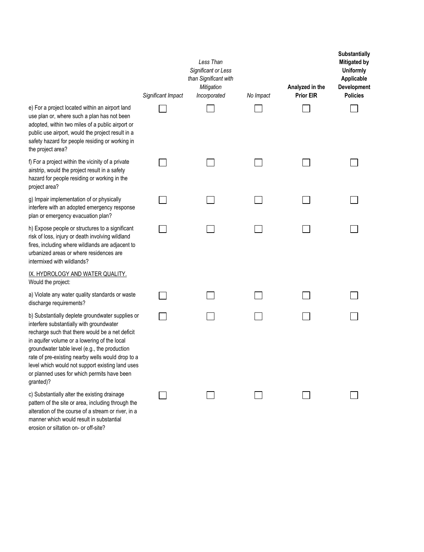|                                                                                                                                                           | Significant Impact | Less Than<br>Significant or Less<br>than Significant with<br>Mitigation<br>Incorporated | No Impact | Analyzed in the<br><b>Prior EIR</b> | <b>Substantially</b><br>Mitigated by<br><b>Uniformly</b><br>Applicable<br>Development<br><b>Policies</b> |
|-----------------------------------------------------------------------------------------------------------------------------------------------------------|--------------------|-----------------------------------------------------------------------------------------|-----------|-------------------------------------|----------------------------------------------------------------------------------------------------------|
| an airport land<br>n has not been<br>public airport or<br>project result in a<br>ling or working in                                                       |                    |                                                                                         |           |                                     |                                                                                                          |
| ity of a private<br>ult in a safety<br>working in the                                                                                                     |                    |                                                                                         |           |                                     |                                                                                                          |
| r physically<br>ergency response<br>n plan?                                                                                                               |                    |                                                                                         |           |                                     |                                                                                                          |
| s to a significant<br>olving wildland<br>ds are adjacent to<br>idences are                                                                                |                    |                                                                                         |           |                                     |                                                                                                          |
| ER QUALITY.                                                                                                                                               |                    |                                                                                         |           |                                     |                                                                                                          |
| andards or waste                                                                                                                                          |                    |                                                                                         |           |                                     |                                                                                                          |
| dwater supplies or<br>oundwater<br>ld be a net deficit<br>g of the local<br>the production<br>lls would drop to a<br>existing land uses<br>mits have been |                    |                                                                                         |           |                                     |                                                                                                          |
| ing drainage<br>luding through the<br>tream or river, in a<br>substantial                                                                                 |                    |                                                                                         |           |                                     |                                                                                                          |

e) For a project located within use plan or, where such a plan adopted, within two miles of a public use airport, would the p safety hazard for people resid the project area?

f) For a project within the vicin airstrip, would the project result hazard for people residing or project area?

g) Impair implementation of or interfere with an adopted eme plan or emergency evacuation

h) Expose people or structure risk of loss, injury or death inv fires, including where wildland urbanized areas or where resi intermixed with wildlands?

IX. HYDROLOGY AND WATE Would the project:

a) Violate any water quality sta discharge requirements?

b) Substantially deplete groun interfere substantially with gro recharge such that there woul in aquifer volume or a lowering groundwater table level (e.g., rate of pre-existing nearby we level which would not support or planned uses for which per granted)?

c) Substantially alter the existi pattern of the site or area, incl alteration of the course of a str manner which would result in erosion or siltation on- or off-site?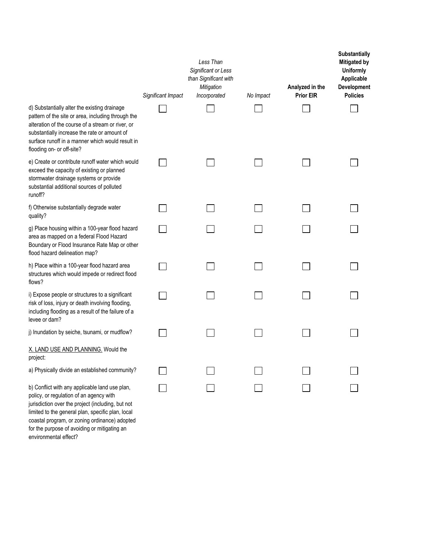|                                                                                                                                                                                                                                                                                                      | Significant Impact | Less Than<br>Significant or Less<br>than Significant with<br>Mitigation<br>Incorporated | No Impact | Analyzed in the<br><b>Prior EIR</b> | Substantially<br><b>Mitigated by</b><br><b>Uniformly</b><br>Applicable<br>Development<br><b>Policies</b> |
|------------------------------------------------------------------------------------------------------------------------------------------------------------------------------------------------------------------------------------------------------------------------------------------------------|--------------------|-----------------------------------------------------------------------------------------|-----------|-------------------------------------|----------------------------------------------------------------------------------------------------------|
| d) Substantially alter the existing drainage<br>pattern of the site or area, including through the<br>alteration of the course of a stream or river, or<br>substantially increase the rate or amount of<br>surface runoff in a manner which would result in<br>flooding on- or off-site?             |                    |                                                                                         |           |                                     |                                                                                                          |
| e) Create or contribute runoff water which would<br>exceed the capacity of existing or planned<br>stormwater drainage systems or provide<br>substantial additional sources of polluted<br>runoff?                                                                                                    |                    |                                                                                         |           |                                     |                                                                                                          |
| f) Otherwise substantially degrade water<br>quality?                                                                                                                                                                                                                                                 |                    |                                                                                         |           |                                     |                                                                                                          |
| g) Place housing within a 100-year flood hazard<br>area as mapped on a federal Flood Hazard<br>Boundary or Flood Insurance Rate Map or other<br>flood hazard delineation map?                                                                                                                        |                    |                                                                                         |           |                                     |                                                                                                          |
| h) Place within a 100-year flood hazard area<br>structures which would impede or redirect flood<br>flows?                                                                                                                                                                                            |                    |                                                                                         |           |                                     |                                                                                                          |
| i) Expose people or structures to a significant<br>risk of loss, injury or death involving flooding,<br>including flooding as a result of the failure of a<br>levee or dam?                                                                                                                          |                    |                                                                                         |           |                                     |                                                                                                          |
| j) Inundation by seiche, tsunami, or mudflow?                                                                                                                                                                                                                                                        |                    |                                                                                         |           |                                     |                                                                                                          |
| X. LAND USE AND PLANNING. Would the<br>project:                                                                                                                                                                                                                                                      |                    |                                                                                         |           |                                     |                                                                                                          |
| a) Physically divide an established community?                                                                                                                                                                                                                                                       |                    |                                                                                         |           |                                     |                                                                                                          |
| b) Conflict with any applicable land use plan,<br>policy, or regulation of an agency with<br>jurisdiction over the project (including, but not<br>limited to the general plan, specific plan, local<br>coastal program, or zoning ordinance) adopted<br>for the purpose of avoiding or mitigating an |                    |                                                                                         |           |                                     |                                                                                                          |

environmental effect?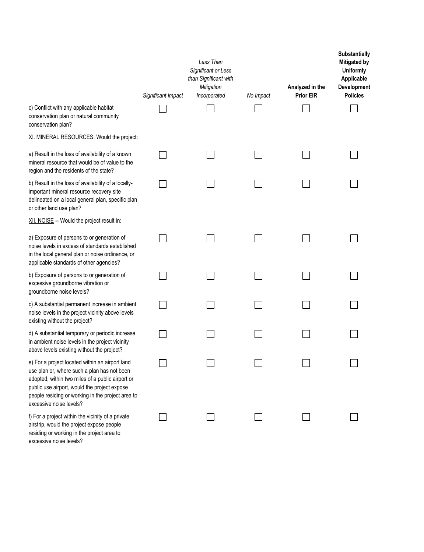|                                                                                                                                                                                                                                                                                    | Significant Impact | Less Than<br>Significant or Less<br>than Significant with<br>Mitigation<br>Incorporated | No Impact | Analyzed in the<br><b>Prior EIR</b> | <b>Substantially</b><br><b>Mitigated by</b><br><b>Uniformly</b><br>Applicable<br>Development<br><b>Policies</b> |
|------------------------------------------------------------------------------------------------------------------------------------------------------------------------------------------------------------------------------------------------------------------------------------|--------------------|-----------------------------------------------------------------------------------------|-----------|-------------------------------------|-----------------------------------------------------------------------------------------------------------------|
| c) Conflict with any applicable habitat<br>conservation plan or natural community<br>conservation plan?                                                                                                                                                                            |                    |                                                                                         |           |                                     |                                                                                                                 |
| XI. MINERAL RESOURCES. Would the project:                                                                                                                                                                                                                                          |                    |                                                                                         |           |                                     |                                                                                                                 |
| a) Result in the loss of availability of a known<br>mineral resource that would be of value to the<br>region and the residents of the state?                                                                                                                                       |                    |                                                                                         |           |                                     |                                                                                                                 |
| b) Result in the loss of availability of a locally-<br>important mineral resource recovery site<br>delineated on a local general plan, specific plan<br>or other land use plan?                                                                                                    |                    |                                                                                         |           |                                     |                                                                                                                 |
| XII. NOISE -- Would the project result in:                                                                                                                                                                                                                                         |                    |                                                                                         |           |                                     |                                                                                                                 |
| a) Exposure of persons to or generation of<br>noise levels in excess of standards established<br>in the local general plan or noise ordinance, or<br>applicable standards of other agencies?                                                                                       |                    |                                                                                         |           |                                     |                                                                                                                 |
| b) Exposure of persons to or generation of<br>excessive groundborne vibration or<br>groundborne noise levels?                                                                                                                                                                      |                    |                                                                                         |           |                                     |                                                                                                                 |
| c) A substantial permanent increase in ambient<br>noise levels in the project vicinity above levels<br>existing without the project?                                                                                                                                               |                    |                                                                                         |           |                                     |                                                                                                                 |
| d) A substantial temporary or periodic increase<br>in ambient noise levels in the project vicinity<br>above levels existing without the project?                                                                                                                                   |                    |                                                                                         |           |                                     |                                                                                                                 |
| e) For a project located within an airport land<br>use plan or, where such a plan has not been<br>adopted, within two miles of a public airport or<br>public use airport, would the project expose<br>people residing or working in the project area to<br>excessive noise levels? |                    |                                                                                         |           |                                     |                                                                                                                 |
| f) For a project within the vicinity of a private<br>airstrip, would the project expose people<br>residing or working in the project area to<br>excessive noise levels?                                                                                                            |                    |                                                                                         |           |                                     |                                                                                                                 |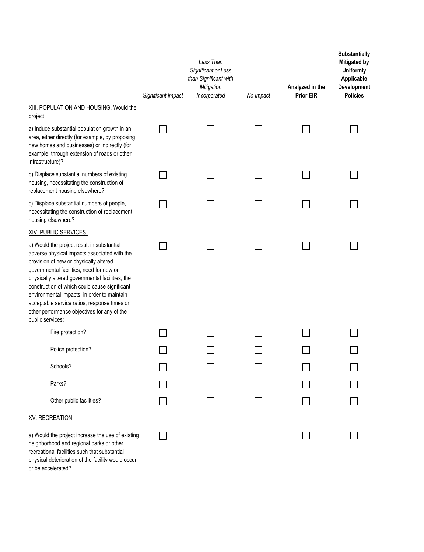|                                                                                                                                                                                                                                                                                                                                                                                                                                                        | Significant Impact | Less Than<br>Significant or Less<br>than Significant with<br>Mitigation<br>Incorporated | No Impact | Analyzed in the<br><b>Prior EIR</b> | Substantially<br>Mitigated by<br><b>Uniformly</b><br>Applicable<br>Development<br><b>Policies</b> |
|--------------------------------------------------------------------------------------------------------------------------------------------------------------------------------------------------------------------------------------------------------------------------------------------------------------------------------------------------------------------------------------------------------------------------------------------------------|--------------------|-----------------------------------------------------------------------------------------|-----------|-------------------------------------|---------------------------------------------------------------------------------------------------|
| XIII. POPULATION AND HOUSING. Would the<br>project:                                                                                                                                                                                                                                                                                                                                                                                                    |                    |                                                                                         |           |                                     |                                                                                                   |
| a) Induce substantial population growth in an<br>area, either directly (for example, by proposing<br>new homes and businesses) or indirectly (for<br>example, through extension of roads or other<br>infrastructure)?                                                                                                                                                                                                                                  |                    |                                                                                         |           |                                     |                                                                                                   |
| b) Displace substantial numbers of existing<br>housing, necessitating the construction of<br>replacement housing elsewhere?                                                                                                                                                                                                                                                                                                                            |                    |                                                                                         |           |                                     |                                                                                                   |
| c) Displace substantial numbers of people,<br>necessitating the construction of replacement<br>housing elsewhere?                                                                                                                                                                                                                                                                                                                                      |                    |                                                                                         |           |                                     |                                                                                                   |
| XIV. PUBLIC SERVICES.                                                                                                                                                                                                                                                                                                                                                                                                                                  |                    |                                                                                         |           |                                     |                                                                                                   |
| a) Would the project result in substantial<br>adverse physical impacts associated with the<br>provision of new or physically altered<br>governmental facilities, need for new or<br>physically altered governmental facilities, the<br>construction of which could cause significant<br>environmental impacts, in order to maintain<br>acceptable service ratios, response times or<br>other performance objectives for any of the<br>public services: |                    |                                                                                         |           |                                     |                                                                                                   |
| Fire protection?                                                                                                                                                                                                                                                                                                                                                                                                                                       |                    |                                                                                         |           |                                     |                                                                                                   |
| Police protection?                                                                                                                                                                                                                                                                                                                                                                                                                                     |                    |                                                                                         |           |                                     |                                                                                                   |
| Schools?                                                                                                                                                                                                                                                                                                                                                                                                                                               |                    |                                                                                         |           |                                     |                                                                                                   |
| Parks?                                                                                                                                                                                                                                                                                                                                                                                                                                                 |                    |                                                                                         |           |                                     |                                                                                                   |
| Other public facilities?                                                                                                                                                                                                                                                                                                                                                                                                                               |                    |                                                                                         |           |                                     |                                                                                                   |
| XV. RECREATION.                                                                                                                                                                                                                                                                                                                                                                                                                                        |                    |                                                                                         |           |                                     |                                                                                                   |
| a) Would the project increase the use of existing<br>neighborhood and regional parks or other<br>recreational facilities such that substantial                                                                                                                                                                                                                                                                                                         |                    |                                                                                         |           |                                     |                                                                                                   |

physical deterioration of the facility would occur or be accelerated?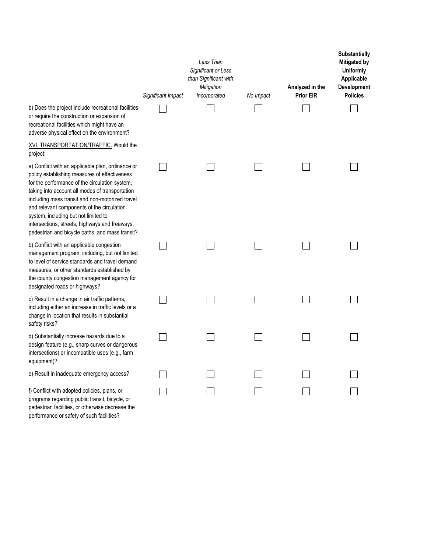|                                                                                                                                                                                                                                                                                                                                                                                                                                                       | Significant Impact | Less Than<br>Significant or Less<br>than Significant with<br>Mitigation<br>Incorporated | No Impact | Analyzed in the<br><b>Prior EIR</b> | Substantially<br><b>Mitigated by</b><br><b>Uniformly</b><br>Applicable<br>Development<br><b>Policies</b> |
|-------------------------------------------------------------------------------------------------------------------------------------------------------------------------------------------------------------------------------------------------------------------------------------------------------------------------------------------------------------------------------------------------------------------------------------------------------|--------------------|-----------------------------------------------------------------------------------------|-----------|-------------------------------------|----------------------------------------------------------------------------------------------------------|
| b) Does the project include recreational facilities<br>or require the construction or expansion of<br>recreational facilities which might have an<br>adverse physical effect on the environment?                                                                                                                                                                                                                                                      |                    |                                                                                         |           |                                     |                                                                                                          |
| XVI. TRANSPORTATION/TRAFFIC. Would the<br>project:                                                                                                                                                                                                                                                                                                                                                                                                    |                    |                                                                                         |           |                                     |                                                                                                          |
| a) Conflict with an applicable plan, ordinance or<br>policy establishing measures of effectiveness<br>for the performance of the circulation system,<br>taking into account all modes of transportation<br>including mass transit and non-motorized travel<br>and relevant components of the circulation<br>system, including but not limited to<br>intersections, streets, highways and freeways,<br>pedestrian and bicycle paths, and mass transit? |                    |                                                                                         |           |                                     |                                                                                                          |
| b) Conflict with an applicable congestion<br>management program, including, but not limited<br>to level of service standards and travel demand<br>measures, or other standards established by<br>the county congestion management agency for<br>designated roads or highways?                                                                                                                                                                         |                    |                                                                                         |           |                                     |                                                                                                          |
| c) Result in a change in air traffic patterns,<br>including either an increase in traffic levels or a<br>change in location that results in substantial<br>safety risks?                                                                                                                                                                                                                                                                              |                    |                                                                                         |           |                                     |                                                                                                          |
| d) Substantially increase hazards due to a<br>design feature (e.g., sharp curves or dangerous<br>intersections) or incompatible uses (e.g., farm<br>equipment)?                                                                                                                                                                                                                                                                                       |                    |                                                                                         |           |                                     |                                                                                                          |
| e) Result in inadequate emergency access?                                                                                                                                                                                                                                                                                                                                                                                                             |                    |                                                                                         |           |                                     |                                                                                                          |
| f) Conflict with adopted policies, plans, or<br>programs regarding public transit, bicycle, or<br>pedestrian facilities, or otherwise decrease the<br>performance or safety of such facilities?                                                                                                                                                                                                                                                       |                    |                                                                                         |           |                                     |                                                                                                          |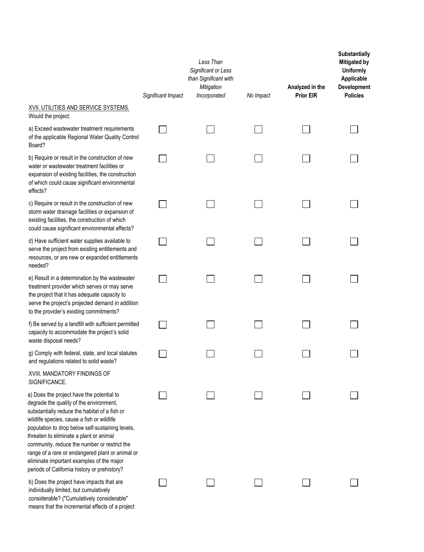|                                                                                                                                                                                                                                                                                                                                                                                                                                                                                     | Significant Impact | Less Than<br>Significant or Less<br>than Significant with<br>Mitigation<br>Incorporated | No Impact | Analyzed in the<br><b>Prior EIR</b> | Substantially<br><b>Mitigated by</b><br><b>Uniformly</b><br>Applicable<br>Development<br><b>Policies</b> |
|-------------------------------------------------------------------------------------------------------------------------------------------------------------------------------------------------------------------------------------------------------------------------------------------------------------------------------------------------------------------------------------------------------------------------------------------------------------------------------------|--------------------|-----------------------------------------------------------------------------------------|-----------|-------------------------------------|----------------------------------------------------------------------------------------------------------|
| <b>XVII. UTILITIES AND SERVICE SYSTEMS.</b><br>Would the project:                                                                                                                                                                                                                                                                                                                                                                                                                   |                    |                                                                                         |           |                                     |                                                                                                          |
| a) Exceed wastewater treatment requirements<br>of the applicable Regional Water Quality Control<br>Board?                                                                                                                                                                                                                                                                                                                                                                           |                    |                                                                                         |           |                                     |                                                                                                          |
| b) Require or result in the construction of new<br>water or wastewater treatment facilities or<br>expansion of existing facilities, the construction<br>of which could cause significant environmental<br>effects?                                                                                                                                                                                                                                                                  |                    |                                                                                         |           |                                     |                                                                                                          |
| c) Require or result in the construction of new<br>storm water drainage facilities or expansion of<br>existing facilities, the construction of which<br>could cause significant environmental effects?                                                                                                                                                                                                                                                                              |                    |                                                                                         |           |                                     |                                                                                                          |
| d) Have sufficient water supplies available to<br>serve the project from existing entitlements and<br>resources, or are new or expanded entitlements<br>needed?                                                                                                                                                                                                                                                                                                                     |                    |                                                                                         |           |                                     |                                                                                                          |
| e) Result in a determination by the wastewater<br>treatment provider which serves or may serve<br>the project that it has adequate capacity to<br>serve the project's projected demand in addition<br>to the provider's existing commitments?                                                                                                                                                                                                                                       |                    |                                                                                         |           |                                     |                                                                                                          |
| f) Be served by a landfill with sufficient permitted<br>capacity to accommodate the project's solid<br>waste disposal needs?                                                                                                                                                                                                                                                                                                                                                        |                    |                                                                                         |           |                                     |                                                                                                          |
| g) Comply with federal, state, and local statutes<br>and regulations related to solid waste?                                                                                                                                                                                                                                                                                                                                                                                        |                    |                                                                                         |           |                                     |                                                                                                          |
| XVIII. MANDATORY FINDINGS OF<br>SIGNIFICANCE.                                                                                                                                                                                                                                                                                                                                                                                                                                       |                    |                                                                                         |           |                                     |                                                                                                          |
| a) Does the project have the potential to<br>degrade the quality of the environment,<br>substantially reduce the habitat of a fish or<br>wildlife species, cause a fish or wildlife<br>population to drop below self-sustaining levels,<br>threaten to eliminate a plant or animal<br>community, reduce the number or restrict the<br>range of a rare or endangered plant or animal or<br>eliminate important examples of the major<br>periods of California history or prehistory? |                    |                                                                                         |           |                                     |                                                                                                          |
| b) Does the project have impacts that are<br>individually limited, but cumulatively<br>considerable? ("Cumulatively considerable"<br>means that the incremental effects of a project                                                                                                                                                                                                                                                                                                |                    |                                                                                         |           |                                     |                                                                                                          |